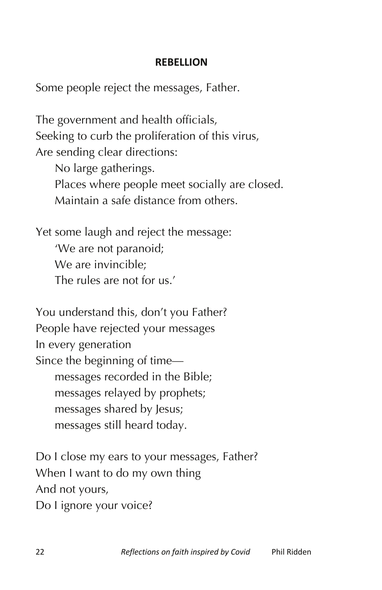## **REBELLION**

Some people reject the messages, Father.

The government and health officials, Seeking to curb the proliferation of this virus, Are sending clear directions: No large gatherings. Places where people meet socially are closed. Maintain a safe distance from others.

Yet some laugh and reject the message: 'We are not paranoid; We are invincible; The rules are not for us.'

You understand this, don't you Father? People have rejected your messages In every generation Since the beginning of time messages recorded in the Bible; messages relayed by prophets; messages shared by Jesus; messages still heard today.

Do I close my ears to your messages, Father? When I want to do my own thing And not yours, Do I ignore your voice?